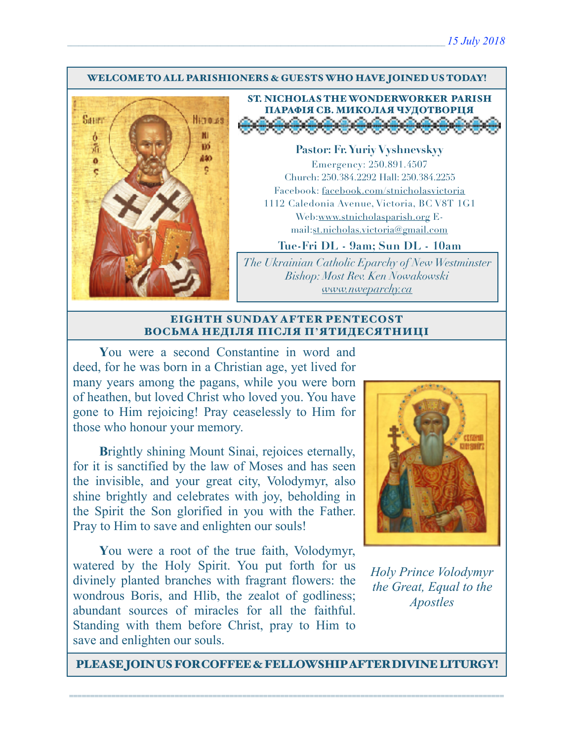#### WELCOME TO ALL PARISHIONERS & GUESTS WHO HAVE JOINED US TODAY!



ST. NICHOLAS THE WONDERWORKER PARISH ПАРАФІЯ СВ. МИКОЛАЯ ЧУДОТВОРЦЯ

**Pastor: Fr. Yuriy Vyshnevskyy** Emergency: 250.891.4507 Church: 250.384.2292 Hall: 250.384.2255 Facebook: facebook.com/stnicholasvictoria 1112 Caledonia Avenue, Victoria, BC V8T 1G1 Web[:www.stnicholasparish.org](http://www.stnicholasparish.org) Email:[st.nicholas.victoria@gmail.com](mailto:st.nicholas.victoria@gmail.com)

**Tue-Fri DL - 9am; Sun DL - 10am**

*The Ukrainian Catholic Eparchy of New Westminster Bishop: Most Rev. Ken Nowakowski [www.nweparchy.ca](http://www.nweparchy.ca)*

#### EIGHTH SUNDAY AFTER PENTECOST ВОСЬМА НЕДІЛЯ ПІСЛЯ П**'**ЯТИДЕСЯТНИЦІ

**Y**ou were a second Constantine in word and deed, for he was born in a Christian age, yet lived for many years among the pagans, while you were born of heathen, but loved Christ who loved you. You have gone to Him rejoicing! Pray ceaselessly to Him for those who honour your memory.

**Brightly shining Mount Sinai, rejoices eternally,** for it is sanctified by the law of Moses and has seen the invisible, and your great city, Volodymyr, also shine brightly and celebrates with joy, beholding in the Spirit the Son glorified in you with the Father. Pray to Him to save and enlighten our souls!

**Y**ou were a root of the true faith, Volodymyr, watered by the Holy Spirit. You put forth for us divinely planted branches with fragrant flowers: the wondrous Boris, and Hlib, the zealot of godliness; abundant sources of miracles for all the faithful. Standing with them before Christ, pray to Him to save and enlighten our souls.



*Holy Prince Volodymyr the Great, Equal to the Apostles*

PLEASE JOIN US FOR COFFEE & FELLOWSHIP AFTER DIVINE LITURGY!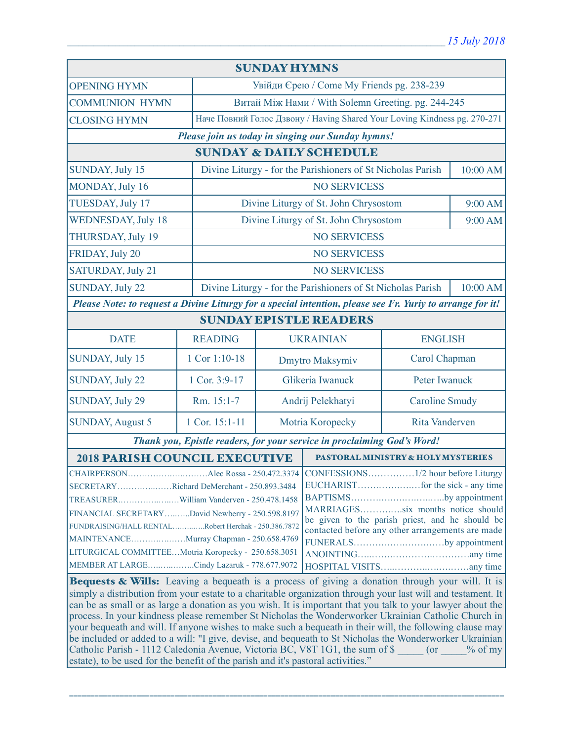| <b>SUNDAY HYMNS</b>                                                                                                                                                                                                                                                                                                                                                                                                                                                                                                                                                                                                                                                                                                                                                                                                                       |                                    |                                                                           |                                                    |                       |         |  |
|-------------------------------------------------------------------------------------------------------------------------------------------------------------------------------------------------------------------------------------------------------------------------------------------------------------------------------------------------------------------------------------------------------------------------------------------------------------------------------------------------------------------------------------------------------------------------------------------------------------------------------------------------------------------------------------------------------------------------------------------------------------------------------------------------------------------------------------------|------------------------------------|---------------------------------------------------------------------------|----------------------------------------------------|-----------------------|---------|--|
| <b>OPENING HYMN</b>                                                                                                                                                                                                                                                                                                                                                                                                                                                                                                                                                                                                                                                                                                                                                                                                                       |                                    | Увійди Єрею / Come My Friends pg. 238-239                                 |                                                    |                       |         |  |
| <b>COMMUNION HYMN</b>                                                                                                                                                                                                                                                                                                                                                                                                                                                                                                                                                                                                                                                                                                                                                                                                                     |                                    |                                                                           | Витай Між Нами / With Solemn Greeting. pg. 244-245 |                       |         |  |
| <b>CLOSING HYMN</b>                                                                                                                                                                                                                                                                                                                                                                                                                                                                                                                                                                                                                                                                                                                                                                                                                       |                                    | Наче Повний Голос Дзвону / Having Shared Your Loving Kindness pg. 270-271 |                                                    |                       |         |  |
| Please join us today in singing our Sunday hymns!                                                                                                                                                                                                                                                                                                                                                                                                                                                                                                                                                                                                                                                                                                                                                                                         |                                    |                                                                           |                                                    |                       |         |  |
| <b>SUNDAY &amp; DAILY SCHEDULE</b>                                                                                                                                                                                                                                                                                                                                                                                                                                                                                                                                                                                                                                                                                                                                                                                                        |                                    |                                                                           |                                                    |                       |         |  |
| SUNDAY, July 15                                                                                                                                                                                                                                                                                                                                                                                                                                                                                                                                                                                                                                                                                                                                                                                                                           |                                    | Divine Liturgy - for the Parishioners of St Nicholas Parish               |                                                    | 10:00 AM              |         |  |
| MONDAY, July 16                                                                                                                                                                                                                                                                                                                                                                                                                                                                                                                                                                                                                                                                                                                                                                                                                           |                                    |                                                                           | <b>NO SERVICESS</b>                                |                       |         |  |
| TUESDAY, July 17                                                                                                                                                                                                                                                                                                                                                                                                                                                                                                                                                                                                                                                                                                                                                                                                                          |                                    | Divine Liturgy of St. John Chrysostom                                     |                                                    |                       | 9:00 AM |  |
| <b>WEDNESDAY, July 18</b>                                                                                                                                                                                                                                                                                                                                                                                                                                                                                                                                                                                                                                                                                                                                                                                                                 |                                    | Divine Liturgy of St. John Chrysostom                                     |                                                    |                       | 9:00 AM |  |
| THURSDAY, July 19                                                                                                                                                                                                                                                                                                                                                                                                                                                                                                                                                                                                                                                                                                                                                                                                                         |                                    |                                                                           | <b>NO SERVICESS</b>                                |                       |         |  |
| FRIDAY, July 20                                                                                                                                                                                                                                                                                                                                                                                                                                                                                                                                                                                                                                                                                                                                                                                                                           |                                    |                                                                           | <b>NO SERVICESS</b>                                |                       |         |  |
| SATURDAY, July 21                                                                                                                                                                                                                                                                                                                                                                                                                                                                                                                                                                                                                                                                                                                                                                                                                         |                                    | <b>NO SERVICESS</b>                                                       |                                                    |                       |         |  |
| <b>SUNDAY, July 22</b>                                                                                                                                                                                                                                                                                                                                                                                                                                                                                                                                                                                                                                                                                                                                                                                                                    |                                    | Divine Liturgy - for the Parishioners of St Nicholas Parish<br>10:00 AM   |                                                    |                       |         |  |
| Please Note: to request a Divine Liturgy for a special intention, please see Fr. Yuriy to arrange for it!                                                                                                                                                                                                                                                                                                                                                                                                                                                                                                                                                                                                                                                                                                                                 |                                    |                                                                           |                                                    |                       |         |  |
| <b>SUNDAY EPISTLE READERS</b>                                                                                                                                                                                                                                                                                                                                                                                                                                                                                                                                                                                                                                                                                                                                                                                                             |                                    |                                                                           |                                                    |                       |         |  |
| <b>DATE</b>                                                                                                                                                                                                                                                                                                                                                                                                                                                                                                                                                                                                                                                                                                                                                                                                                               | <b>READING</b>                     | <b>UKRAINIAN</b><br><b>ENGLISH</b>                                        |                                                    |                       |         |  |
| SUNDAY, July 15                                                                                                                                                                                                                                                                                                                                                                                                                                                                                                                                                                                                                                                                                                                                                                                                                           | 1 Cor 1:10-18                      |                                                                           | Dmytro Maksymiv                                    | Carol Chapman         |         |  |
| <b>SUNDAY, July 22</b>                                                                                                                                                                                                                                                                                                                                                                                                                                                                                                                                                                                                                                                                                                                                                                                                                    | 1 Cor. 3:9-17                      | Glikeria Iwanuck                                                          |                                                    | Peter Iwanuck         |         |  |
| SUNDAY, July 29                                                                                                                                                                                                                                                                                                                                                                                                                                                                                                                                                                                                                                                                                                                                                                                                                           | Rm. 15:1-7                         | Andrij Pelekhatyi                                                         |                                                    | <b>Caroline Smudy</b> |         |  |
| <b>SUNDAY, August 5</b>                                                                                                                                                                                                                                                                                                                                                                                                                                                                                                                                                                                                                                                                                                                                                                                                                   | 1 Cor. 15:1-11                     | Motria Koropecky                                                          |                                                    | Rita Vanderven        |         |  |
| Thank you, Epistle readers, for your service in proclaiming God's Word!                                                                                                                                                                                                                                                                                                                                                                                                                                                                                                                                                                                                                                                                                                                                                                   |                                    |                                                                           |                                                    |                       |         |  |
| <b>2018 PARISH COUNCIL EXECUTIVE</b>                                                                                                                                                                                                                                                                                                                                                                                                                                                                                                                                                                                                                                                                                                                                                                                                      | PASTORAL MINISTRY & HOLY MYSTERIES |                                                                           |                                                    |                       |         |  |
| SECRETARYRichard DeMerchant - 250.893.3484<br>BAPTISMSby appointment<br>MARRIAGESsix months notice should<br>FINANCIAL SECRETARYDavid Newberry - 250.598.8197<br>be given to the parish priest, and he should be<br>FUNDRAISING/HALL RENTALRobert Herchak - 250.386.7872<br>contacted before any other arrangements are made<br>MAINTENANCEMurray Chapman - 250.658.4769<br>FUNERALSby appointment<br>LITURGICAL COMMITTEEMotria Koropecky - 250.658.3051<br>MEMBER AT LARGECindy Lazaruk - 778.677.9072<br>Bequests & Wills: Leaving a bequeath is a process of giving a donation through your will. It is<br>simply a distribution from your estate to a charitable organization through your last will and testament. It<br>can be as small or as large a donation as you wish. It is important that you talk to your lawyer about the |                                    |                                                                           |                                                    |                       |         |  |
| process. In your kindness please remember St Nicholas the Wonderworker Ukrainian Catholic Church in<br>your bequeath and will. If anyone wishes to make such a bequeath in their will, the following clause may<br>be included or added to a will: "I give, devise, and bequeath to St Nicholas the Wonderworker Ukrainian<br>Catholic Parish - 1112 Caledonia Avenue, Victoria BC, V8T 1G1, the sum of \$ (or % of my<br>estate), to be used for the benefit of the parish and it's pastoral activities."                                                                                                                                                                                                                                                                                                                                |                                    |                                                                           |                                                    |                       |         |  |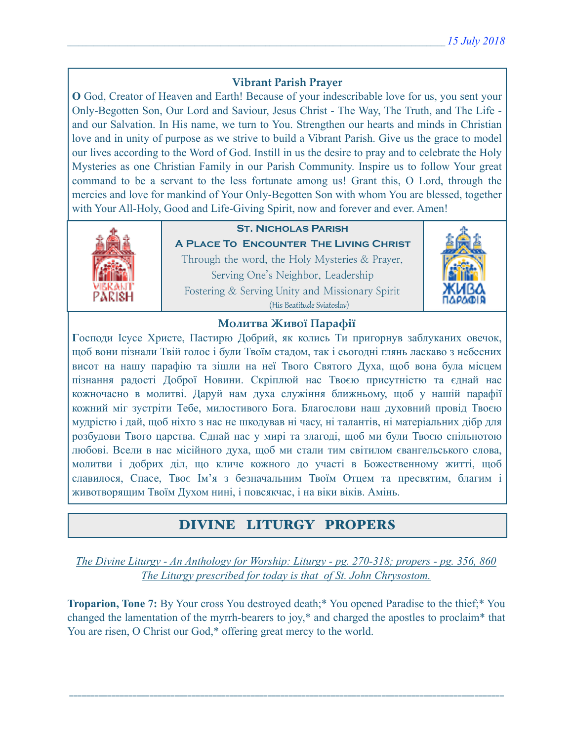## **Vibrant Parish Prayer**

**O** God, Creator of Heaven and Earth! Because of your indescribable love for us, you sent your Only-Begotten Son, Our Lord and Saviour, Jesus Christ - The Way, The Truth, and The Life and our Salvation. In His name, we turn to You. Strengthen our hearts and minds in Christian love and in unity of purpose as we strive to build a Vibrant Parish. Give us the grace to model our lives according to the Word of God. Instill in us the desire to pray and to celebrate the Holy Mysteries as one Christian Family in our Parish Community. Inspire us to follow Your great command to be a servant to the less fortunate among us! Grant this, O Lord, through the mercies and love for mankind of Your Only-Begotten Son with whom You are blessed, together with Your All-Holy, Good and Life-Giving Spirit, now and forever and ever. Amen!



## **St. Nicholas Parish**

**A Place To Encounter The Living Christ** Through the word, the Holy Mysteries & Prayer, Serving One's Neighbor, Leadership Fostering & Serving Unity and Missionary Spirit (His Beatitude Sviatoslav)



## **Молитва Живої Парафії**

**Г**осподи Ісусе Христе, Пастирю Добрий, як колись Ти пригорнув заблуканих овечок, щоб вони пізнали Твій голос і були Твоїм стадом, так і сьогодні глянь ласкаво з небесних висот на нашу парафію та зішли на неї Твого Святого Духа, щоб вона була місцем пізнання радості Доброї Новини. Скріплюй нас Твоєю присутністю та єднай нас кожночасно в молитві. Даруй нам духа служіння ближньому, щоб у нашій парафії кожний міг зустріти Тебе, милостивого Бога. Благослови наш духовний провід Твоєю мудрістю і дай, щоб ніхто з нас не шкодував ні часу, ні талантів, ні матеріальних дібр для розбудови Твого царства. Єднай нас у мирі та злагоді, щоб ми були Твоєю спільнотою любові. Всели в нас місійного духа, щоб ми стали тим світилом євангельського слова, молитви і добрих діл, що кличе кожного до участі в Божественному житті, щоб славилося, Спасе, Твоє Ім'я з безначальним Твоїм Отцем та пресвятим, благим і животворящим Твоїм Духом нині, і повсякчас, і на віки віків. Амінь.

## DIVINE LITURGY PROPERS

*The Divine Liturgy - An Anthology for Worship: Liturgy - pg. 270-318; propers - pg. 356, 860 The Liturgy prescribed for today is that of St. John Chrysostom.* 

**Troparion, Tone 7:** By Your cross You destroyed death;\* You opened Paradise to the thief;\* You changed the lamentation of the myrrh-bearers to joy,\* and charged the apostles to proclaim\* that You are risen, O Christ our God,\* offering great mercy to the world.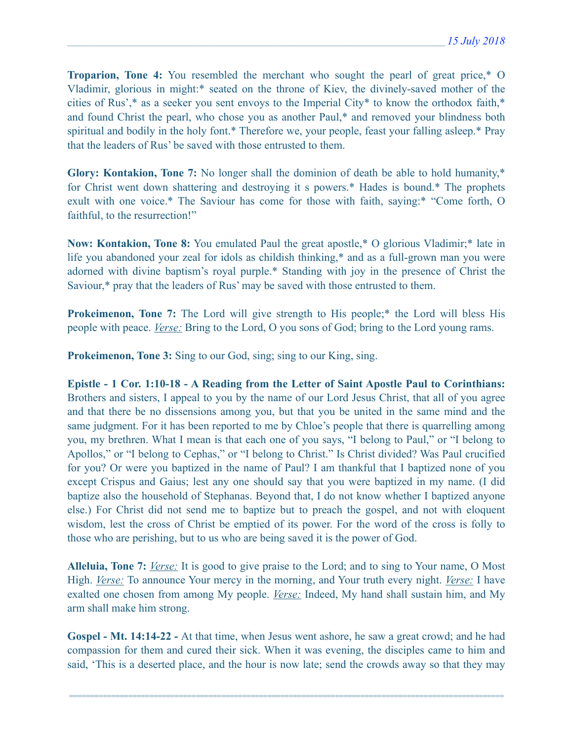**Troparion, Tone 4:** You resembled the merchant who sought the pearl of great price,\* O Vladimir, glorious in might:\* seated on the throne of Kiev, the divinely-saved mother of the cities of Rus',\* as a seeker you sent envoys to the Imperial City\* to know the orthodox faith,\* and found Christ the pearl, who chose you as another Paul,\* and removed your blindness both spiritual and bodily in the holy font.\* Therefore we, your people, feast your falling asleep.\* Pray that the leaders of Rus' be saved with those entrusted to them.

**Glory: Kontakion, Tone 7:** No longer shall the dominion of death be able to hold humanity,\* for Christ went down shattering and destroying it s powers.\* Hades is bound.\* The prophets exult with one voice.\* The Saviour has come for those with faith, saying:\* "Come forth, O faithful, to the resurrection!"

**Now: Kontakion, Tone 8:** You emulated Paul the great apostle,\* O glorious Vladimir;\* late in life you abandoned your zeal for idols as childish thinking,\* and as a full-grown man you were adorned with divine baptism's royal purple.\* Standing with joy in the presence of Christ the Saviour,\* pray that the leaders of Rus' may be saved with those entrusted to them.

**Prokeimenon, Tone 7:** The Lord will give strength to His people;<sup>\*</sup> the Lord will bless His people with peace. *Verse:* Bring to the Lord, O you sons of God; bring to the Lord young rams.

**Prokeimenon, Tone 3:** Sing to our God, sing; sing to our King, sing.

**Epistle - 1 Cor. 1:10-18 - A Reading from the Letter of Saint Apostle Paul to Corinthians:**  Brothers and sisters, I appeal to you by the name of our Lord Jesus Christ, that all of you agree and that there be no dissensions among you, but that you be united in the same mind and the same judgment. For it has been reported to me by Chloe's people that there is quarrelling among you, my brethren. What I mean is that each one of you says, "I belong to Paul," or "I belong to Apollos," or "I belong to Cephas," or "I belong to Christ." Is Christ divided? Was Paul crucified for you? Or were you baptized in the name of Paul? I am thankful that I baptized none of you except Crispus and Gaius; lest any one should say that you were baptized in my name. (I did baptize also the household of Stephanas. Beyond that, I do not know whether I baptized anyone else.) For Christ did not send me to baptize but to preach the gospel, and not with eloquent wisdom, lest the cross of Christ be emptied of its power. For the word of the cross is folly to those who are perishing, but to us who are being saved it is the power of God.

**Alleluia, Tone 7:** *Verse:* It is good to give praise to the Lord; and to sing to Your name, O Most High. *Verse:* To announce Your mercy in the morning, and Your truth every night. *Verse:* I have exalted one chosen from among My people. *Verse:* Indeed, My hand shall sustain him, and My arm shall make him strong.

**Gospel - Mt. 14:14-22 -** At that time, when Jesus went ashore, he saw a great crowd; and he had compassion for them and cured their sick. When it was evening, the disciples came to him and said, 'This is a deserted place, and the hour is now late; send the crowds away so that they may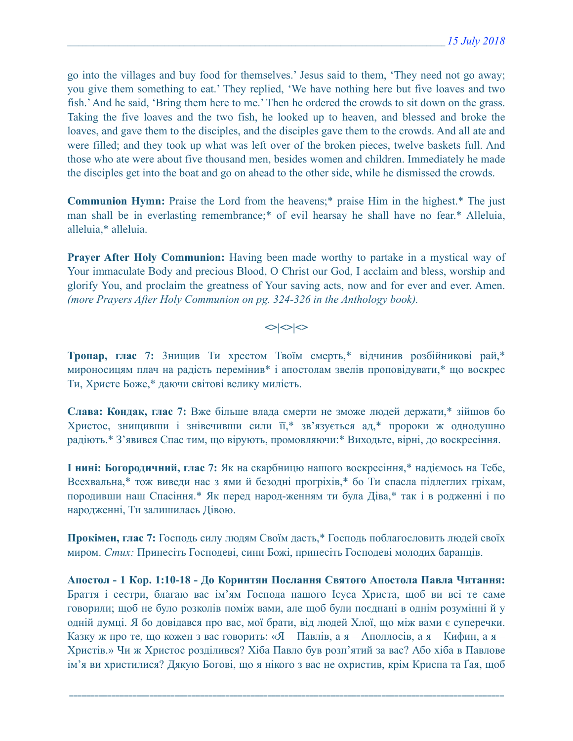go into the villages and buy food for themselves.' Jesus said to them, 'They need not go away; you give them something to eat.' They replied, 'We have nothing here but five loaves and two fish.' And he said, 'Bring them here to me.' Then he ordered the crowds to sit down on the grass. Taking the five loaves and the two fish, he looked up to heaven, and blessed and broke the loaves, and gave them to the disciples, and the disciples gave them to the crowds. And all ate and were filled; and they took up what was left over of the broken pieces, twelve baskets full. And those who ate were about five thousand men, besides women and children. Immediately he made the disciples get into the boat and go on ahead to the other side, while he dismissed the crowds.

**Communion Hymn:** Praise the Lord from the heavens;\* praise Him in the highest.\* The just man shall be in everlasting remembrance;\* of evil hearsay he shall have no fear.\* Alleluia, alleluia,\* alleluia.

**Prayer After Holy Communion:** Having been made worthy to partake in a mystical way of Your immaculate Body and precious Blood, O Christ our God, I acclaim and bless, worship and glorify You, and proclaim the greatness of Your saving acts, now and for ever and ever. Amen. *(more Prayers After Holy Communion on pg. 324-326 in the Anthology book).* 

## $\langle$

**Тропар, глас 7:** 3нищив Ти хрестом Твоїм смерть,\* відчинив розбійникові рай,\* мироносицям плач на радість перемінив\* і апостолам звелів проповідувати,\* що воскрес Ти, Христе Боже,\* даючи світові велику милість.

**Слава: Кондак, глас 7:** Вже більше влада смерти не зможе людей держати,\* зійшов бо Христос, знищивши і знівечивши сили її,\* зв'язується ад,\* пророки ж однодушно радіють.\* З'явився Спас тим, що вірують, промовляючи:\* Виходьте, вірні, до воскресіння.

**І нині: Богородичний, глас 7:** Як на скарбницю нашого воскресіння,\* надіємось на Тебе, Всехвальна,\* тож виведи нас з ями й безодні прогріхів,\* бо Ти спасла підлеглих гріхам, породивши наш Спасіння.\* Як перед народ-женням ти була Діва,\* так і в родженні і по народженні, Ти залишилась Дівою.

**Прокімен, глас 7:** Господь силу людям Своїм дасть,\* Господь поблагословить людей своїх миром. *Стих:* Принесіть Господеві, сини Божі, принесіть Господеві молодих баранців.

**Апостол - 1 Кoр. 1:10-18 - До Коринтян Послання Святого Апостола Павла Читання:** Браття і сестри, благаю вас ім'ям Господа нашого Ісуса Христа, щоб ви всі те саме говорили; щоб не було розколів поміж вами, але щоб були поєднані в однім розумінні й у одній думці. Я бо довідався про вас, мої брати, від людей Хлої, що між вами є суперечки. Казку ж про те, що кожен з вас говорить: «Я – Павлів, а я – Аполлосів, а я – Кифин, а я – Христів.» Чи ж Христос розділився? Хіба Павло був розп'ятий за вас? Або хіба в Павлове ім'я ви христилися? Дякую Богові, що я нікого з вас не охристив, крім Криспа та Ґая, щоб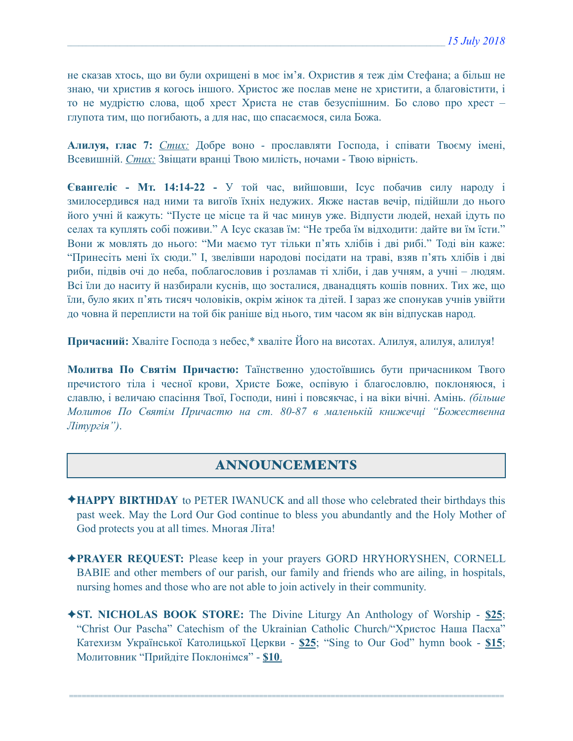не сказав хтось, що ви були охрищені в моє ім'я. Охристив я теж дім Стефана; а більш не знаю, чи христив я когось іншого. Христос же послав мене не христити, а благовістити, і то не мудрістю слова, щоб хрест Христа не став безуспішним. Бо слово про хрест – глупота тим, що погибають, а для нас, що спасаємося, сила Божа.

**Алилуя, глас 7:** *Стих:* Добре воно - прославляти Господа, і співати Твоєму імені, Всевишній. *Стих:* Звіщати вранці Твою милість, ночами - Твою вірність.

**Євангеліє - Мт. 14:14-22 -** У той час, вийшовши, Ісус побачив силу народу і змилосердився над ними та вигоїв їхніх недужих. Якже настав вечір, підійшли до нього його учні й кажуть: "Пусте це місце та й час минув уже. Відпусти людей, нехай ідуть по селах та куплять собі поживи." А Ісус сказав їм: "Не треба їм відходити: дайте ви їм їсти." Вони ж мовлять до нього: "Ми маємо тут тільки п'ять хлібів і дві рибі." Тоді він каже: "Принесіть мені їх сюди." І, звелівши народові посідати на траві, взяв п'ять хлібів і дві риби, підвів очі до неба, поблагословив і розламав ті хліби, і дав учням, а учні – людям. Всі їли до наситу й назбирали куснів, що зосталися, дванадцять кошів повних. Тих же, що їли, було яких п'ять тисяч чоловіків, окрім жінок та дітей. І зараз же спонукав учнів увійти до човна й переплисти на той бік раніше від нього, тим часом як він відпускав народ.

**Причасний:** Хваліте Господа з небес,\* хваліте Його на висотах. Алилуя, алилуя, алилуя!

**Молитва По Святім Причастю:** Таїнственно удостоївшись бути причасником Твого пречистого тіла і чесної крови, Христе Боже, оспівую і благословлю, поклоняюся, і славлю, і величаю спасіння Твої, Господи, нині і повсякчас, і на віки вічні. Амінь. *(більше Молитов По Святім Причастю на ст. 80-87 в маленькій книжечці "Божественна Літургія")*.

## ANNOUNCEMENTS

- ✦**HAPPY BIRTHDAY** to PETER IWANUCK and all those who celebrated their birthdays this past week. May the Lord Our God continue to bless you abundantly and the Holy Mother of God protects you at all times. Многая Літа!
- ✦**PRAYER REQUEST:** Please keep in your prayers GORD HRYHORYSHEN, CORNELL BABIE and other members of our parish, our family and friends who are ailing, in hospitals, nursing homes and those who are not able to join actively in their community.
- ✦**ST. NICHOLAS BOOK STORE:** The Divine Liturgy An Anthology of Worship **\$25**; "Christ Our Pascha" Catechism of the Ukrainian Catholic Church/"Христос Наша Пасха" Катехизм Української Католицької Церкви - **\$25**; "Sing to Our God" hymn book - **\$15**; Молитовник "Прийдіте Поклонімся" - **\$10**.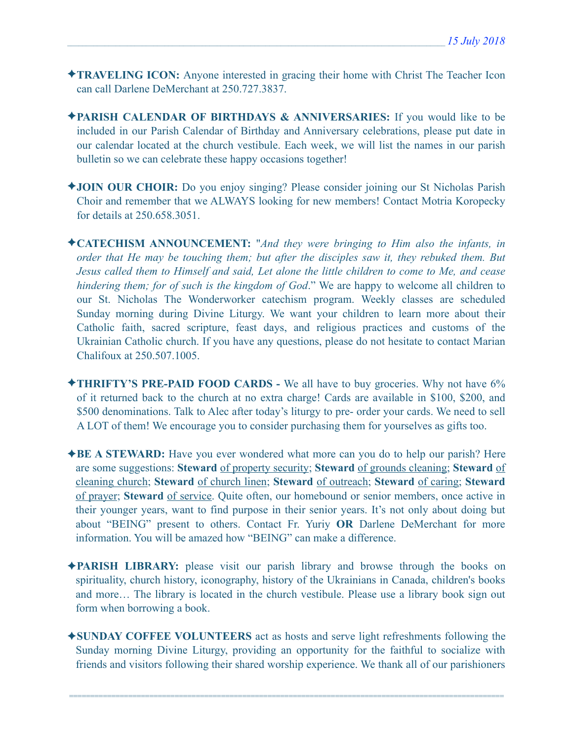- ✦**TRAVELING ICON:** Anyone interested in gracing their home with Christ The Teacher Icon can call Darlene DeMerchant at 250.727.3837.
- ✦**PARISH CALENDAR OF BIRTHDAYS & ANNIVERSARIES:** If you would like to be included in our Parish Calendar of Birthday and Anniversary celebrations, please put date in our calendar located at the church vestibule. Each week, we will list the names in our parish bulletin so we can celebrate these happy occasions together!
- ✦**JOIN OUR CHOIR:** Do you enjoy singing? Please consider joining our St Nicholas Parish Choir and remember that we ALWAYS looking for new members! Contact Motria Koropecky for details at 250.658.3051.
- ✦**CATECHISM ANNOUNCEMENT:** "*And they were bringing to Him also the infants, in order that He may be touching them; but after the disciples saw it, they rebuked them. But Jesus called them to Himself and said, Let alone the little children to come to Me, and cease hindering them; for of such is the kingdom of God*." We are happy to welcome all children to our St. Nicholas The Wonderworker catechism program. Weekly classes are scheduled Sunday morning during Divine Liturgy. We want your children to learn more about their Catholic faith, sacred scripture, feast days, and religious practices and customs of the Ukrainian Catholic church. If you have any questions, please do not hesitate to contact Marian Chalifoux at 250.507.1005.
- ✦**THRIFTY'S PRE-PAID FOOD CARDS** We all have to buy groceries. Why not have 6% of it returned back to the church at no extra charge! Cards are available in \$100, \$200, and \$500 denominations. Talk to Alec after today's liturgy to pre- order your cards. We need to sell A LOT of them! We encourage you to consider purchasing them for yourselves as gifts too.
- ✦**BE A STEWARD:** Have you ever wondered what more can you do to help our parish? Here are some suggestions: **Steward** of property security; **Steward** of grounds cleaning; **Steward** of cleaning church; **Steward** of church linen; **Steward** of outreach; **Steward** of caring; **Steward** of prayer; **Steward** of service. Quite often, our homebound or senior members, once active in their younger years, want to find purpose in their senior years. It's not only about doing but about "BEING" present to others. Contact Fr. Yuriy **OR** Darlene DeMerchant for more information. You will be amazed how "BEING" can make a difference.
- ✦**PARISH LIBRARY:** please visit our parish library and browse through the books on spirituality, church history, iconography, history of the Ukrainians in Canada, children's books and more… The library is located in the church vestibule. Please use a library book sign out form when borrowing a book.
- ✦**SUNDAY COFFEE VOLUNTEERS** act as hosts and serve light refreshments following the Sunday morning Divine Liturgy, providing an opportunity for the faithful to socialize with friends and visitors following their shared worship experience. We thank all of our parishioners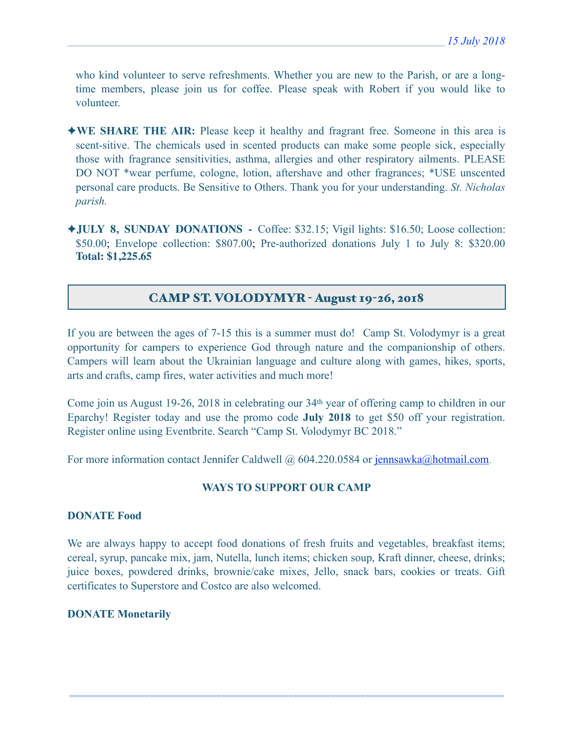who kind volunteer to serve refreshments. Whether you are new to the Parish, or are a longtime members, please join us for coffee. Please speak with Robert if you would like to volunteer.

- ✦**WE SHARE THE AIR:** Please keep it healthy and fragrant free. Someone in this area is scent-sitive. The chemicals used in scented products can make some people sick, especially those with fragrance sensitivities, asthma, allergies and other respiratory ailments. PLEASE DO NOT \*wear perfume, cologne, lotion, aftershave and other fragrances; \*USE unscented personal care products. Be Sensitive to Others. Thank you for your understanding. *St. Nicholas parish.*
- ✦**JULY 8, SUNDAY DONATIONS** Coffee: \$32.15; Vigil lights: \$16.50; Loose collection: \$50.00; Envelope collection: \$807.00; Pre-authorized donations July 1 to July 8: \$320.00 **Total: \$1,225.65**

## CAMP ST. VOLODYMYR - August 19-26, 2018

If you are between the ages of 7-15 this is a summer must do! Camp St. Volodymyr is a great opportunity for campers to experience God through nature and the companionship of others. Campers will learn about the Ukrainian language and culture along with games, hikes, sports, arts and crafts, camp fires, water activities and much more!

Come join us August 19-26, 2018 in celebrating our 34th year of offering camp to children in our Eparchy! Register today and use the promo code **July 2018** to get \$50 off your registration. Register online using Eventbrite. Search "Camp St. Volodymyr BC 2018."

For more information contact Jennifer Caldwell @ 604.220.0584 or [jennsawka@hotmail.com.](mailto:jennsawka@hotmail.com)

#### **WAYS TO SUPPORT OUR CAMP**

#### **DONATE Food**

We are always happy to accept food donations of fresh fruits and vegetables, breakfast items; cereal, syrup, pancake mix, jam, Nutella, lunch items; chicken soup, Kraft dinner, cheese, drinks; juice boxes, powdered drinks, brownie/cake mixes, Jello, snack bars, cookies or treats. Gift certificates to Superstore and Costco are also welcomed.

=======================================================================================================

#### **DONATE Monetarily**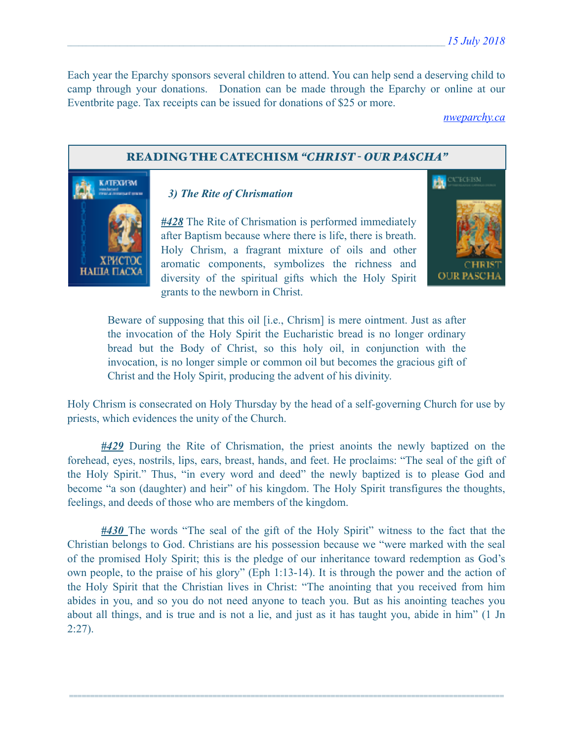Each year the Eparchy sponsors several children to attend. You can help send a deserving child to camp through your donations. Donation can be made through the Eparchy or online at our Eventbrite page. Tax receipts can be issued for donations of \$25 or more.

*[nweparchy.ca](http://nweparchy.ca)*

### READING THE CATECHISM *"CHRIST - OUR PASCHA"*



## *3) The Rite of Chrismation*

*#428* The Rite of Chrismation is performed immediately after Baptism because where there is life, there is breath. Holy Chrism, a fragrant mixture of oils and other aromatic components, symbolizes the richness and diversity of the spiritual gifts which the Holy Spirit grants to the newborn in Christ.



Beware of supposing that this oil [i.e., Chrism] is mere ointment. Just as after the invocation of the Holy Spirit the Eucharistic bread is no longer ordinary bread but the Body of Christ, so this holy oil, in conjunction with the invocation, is no longer simple or common oil but becomes the gracious gift of Christ and the Holy Spirit, producing the advent of his divinity.

Holy Chrism is consecrated on Holy Thursday by the head of a self-governing Church for use by priests, which evidences the unity of the Church.

*#429* During the Rite of Chrismation, the priest anoints the newly baptized on the forehead, eyes, nostrils, lips, ears, breast, hands, and feet. He proclaims: "The seal of the gift of the Holy Spirit." Thus, "in every word and deed" the newly baptized is to please God and become "a son (daughter) and heir" of his kingdom. The Holy Spirit transfigures the thoughts, feelings, and deeds of those who are members of the kingdom.

*#430* The words "The seal of the gift of the Holy Spirit" witness to the fact that the Christian belongs to God. Christians are his possession because we "were marked with the seal of the promised Holy Spirit; this is the pledge of our inheritance toward redemption as God's own people, to the praise of his glory" (Eph 1:13-14). It is through the power and the action of the Holy Spirit that the Christian lives in Christ: "The anointing that you received from him abides in you, and so you do not need anyone to teach you. But as his anointing teaches you about all things, and is true and is not a lie, and just as it has taught you, abide in him" (1 Jn  $2:27$ ).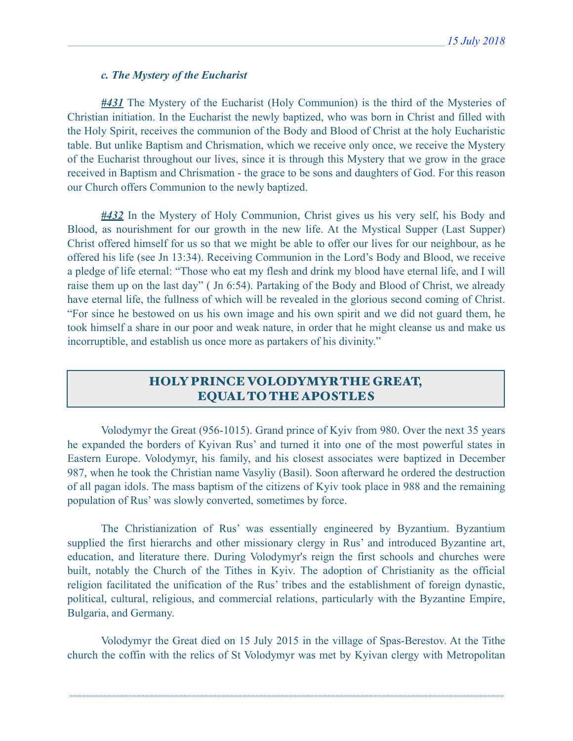### *c. The Mystery of the Eucharist*

*#431* The Mystery of the Eucharist (Holy Communion) is the third of the Mysteries of Christian initiation. In the Eucharist the newly baptized, who was born in Christ and filled with the Holy Spirit, receives the communion of the Body and Blood of Christ at the holy Eucharistic table. But unlike Baptism and Chrismation, which we receive only once, we receive the Mystery of the Eucharist throughout our lives, since it is through this Mystery that we grow in the grace received in Baptism and Chrismation - the grace to be sons and daughters of God. For this reason our Church offers Communion to the newly baptized.

*#432* In the Mystery of Holy Communion, Christ gives us his very self, his Body and Blood, as nourishment for our growth in the new life. At the Mystical Supper (Last Supper) Christ offered himself for us so that we might be able to offer our lives for our neighbour, as he offered his life (see Jn 13:34). Receiving Communion in the Lord's Body and Blood, we receive a pledge of life eternal: "Those who eat my flesh and drink my blood have eternal life, and I will raise them up on the last day" ( Jn 6:54). Partaking of the Body and Blood of Christ, we already have eternal life, the fullness of which will be revealed in the glorious second coming of Christ. "For since he bestowed on us his own image and his own spirit and we did not guard them, he took himself a share in our poor and weak nature, in order that he might cleanse us and make us incorruptible, and establish us once more as partakers of his divinity."

# HOLY PRINCE VOLODYMYR THE GREAT, EQUAL TO THE APOSTLES

 Volodymyr the Great (956-1015). Grand prince of Kyiv from 980. Over the next 35 years he expanded the borders of Kyivan Rus' and turned it into one of the most powerful states in Eastern Europe. Volodymyr, his family, and his closest associates were baptized in December 987, when he took the Christian name Vasyliy (Basil). Soon afterward he ordered the destruction of all pagan idols. The mass baptism of the citizens of Kyiv took place in 988 and the remaining population of Rus' was slowly converted, sometimes by force.

 The Christianization of Rus' was essentially engineered by Byzantium. Byzantium supplied the first hierarchs and other missionary clergy in Rus' and introduced Byzantine art, education, and literature there. During Volodymyr's reign the first schools and churches were built, notably the Church of the Tithes in Kyiv. The adoption of Christianity as the official religion facilitated the unification of the Rus' tribes and the establishment of foreign dynastic, political, cultural, religious, and commercial relations, particularly with the Byzantine Empire, Bulgaria, and Germany.

 Volodymyr the Great died on 15 July 2015 in the village of Spas-Berestov. At the Tithe church the coffin with the relics of St Volodymyr was met by Kyivan clergy with Metropolitan